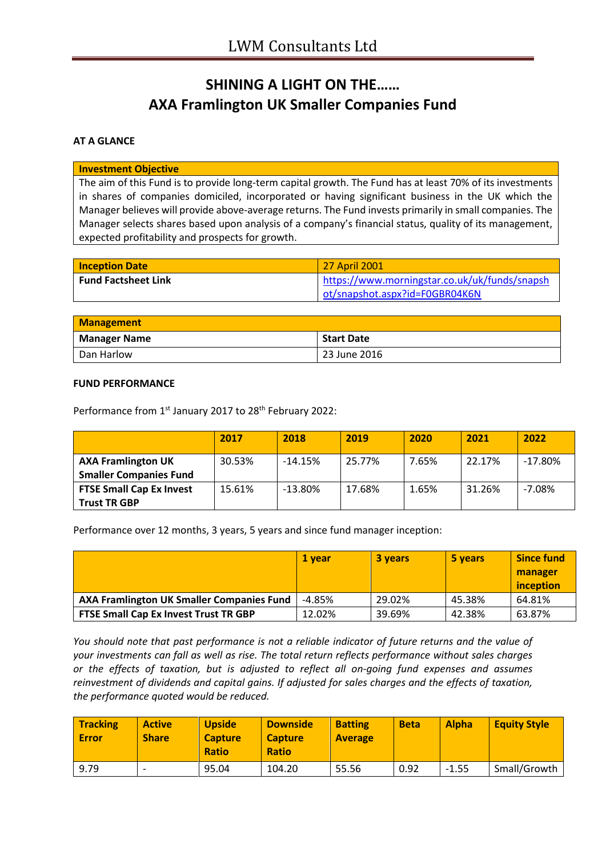# **SHINING A LIGHT ON THE…… AXA Framlington UK Smaller Companies Fund**

### **AT A GLANCE**

#### **Investment Objective**

The aim of this Fund is to provide long-term capital growth. The Fund has at least 70% of its investments in shares of companies domiciled, incorporated or having significant business in the UK which the Manager believes will provide above-average returns. The Fund invests primarily in small companies. The Manager selects shares based upon analysis of a company's financial status, quality of its management, expected profitability and prospects for growth.

| <b>Inception Date</b>      | 27 April 2001                                 |
|----------------------------|-----------------------------------------------|
| <b>Fund Factsheet Link</b> | https://www.morningstar.co.uk/uk/funds/snapsh |
|                            | ot/snapshot.aspx?id=F0GBR04K6N                |

| <b>Management</b>   |                   |  |
|---------------------|-------------------|--|
| <b>Manager Name</b> | <b>Start Date</b> |  |
| Dan Harlow          | 23 June 2016      |  |

#### **FUND PERFORMANCE**

Performance from 1<sup>st</sup> January 2017 to 28<sup>th</sup> February 2022:

|                                                            | 2017   | 2018      | 2019   | 2020  | 2021   | 2022      |
|------------------------------------------------------------|--------|-----------|--------|-------|--------|-----------|
| <b>AXA Framlington UK</b><br><b>Smaller Companies Fund</b> | 30.53% | $-14.15%$ | 25.77% | 7.65% | 22.17% | $-17.80%$ |
| <b>FTSE Small Cap Ex Invest</b><br><b>Trust TR GBP</b>     | 15.61% | $-13.80%$ | 17.68% | 1.65% | 31.26% | $-7.08%$  |

Performance over 12 months, 3 years, 5 years and since fund manager inception:

|                                                  | 1 vear   | 3 years | 5 years | <b>Since fund</b><br>manager<br>inception |
|--------------------------------------------------|----------|---------|---------|-------------------------------------------|
| <b>AXA Framlington UK Smaller Companies Fund</b> | $-4.85%$ | 29.02%  | 45.38%  | 64.81%                                    |
| <b>FTSE Small Cap Ex Invest Trust TR GBP</b>     | 12.02%   | 39.69%  | 42.38%  | 63.87%                                    |

*You should note that past performance is not a reliable indicator of future returns and the value of your investments can fall as well as rise. The total return reflects performance without sales charges or the effects of taxation, but is adjusted to reflect all on-going fund expenses and assumes reinvestment of dividends and capital gains. If adjusted for sales charges and the effects of taxation, the performance quoted would be reduced.*

| <b>Tracking</b><br><b>Error</b> | <b>Active</b><br><b>Share</b> | <b>Upside</b><br><b>Capture</b><br><b>Ratio</b> | <b>Downside</b><br><b>Capture</b><br><b>Ratio</b> | <b>Batting</b><br><b>Average</b> | <b>Beta</b> | <b>Alpha</b> | <b>Equity Style</b> |
|---------------------------------|-------------------------------|-------------------------------------------------|---------------------------------------------------|----------------------------------|-------------|--------------|---------------------|
| 9.79                            |                               | 95.04                                           | 104.20                                            | 55.56                            | 0.92        | $-1.55$      | Small/Growth        |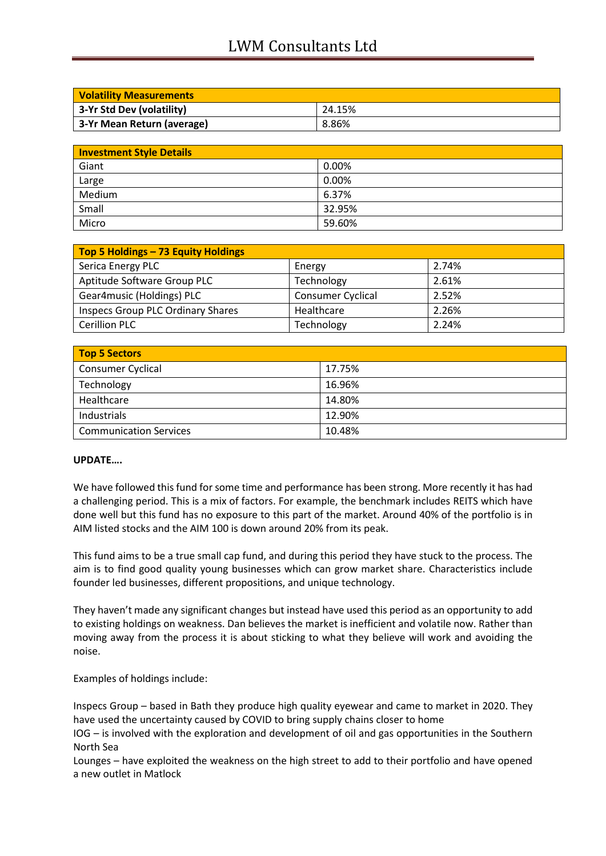## LWM Consultants Ltd

| <b>Volatility Measurements</b> |        |  |
|--------------------------------|--------|--|
| 3-Yr Std Dev (volatility)      | 24.15% |  |
| 3-Yr Mean Return (average)     | 8.86%  |  |

| <b>Investment Style Details</b> |        |  |
|---------------------------------|--------|--|
| Giant                           | 0.00%  |  |
| Large                           | 0.00%  |  |
| Medium                          | 6.37%  |  |
| Small                           | 32.95% |  |
| Micro                           | 59.60% |  |

| Top 5 Holdings - 73 Equity Holdings |                          |       |
|-------------------------------------|--------------------------|-------|
| Serica Energy PLC                   | Energy                   | 2.74% |
| Aptitude Software Group PLC         | Technology               | 2.61% |
| Gear4music (Holdings) PLC           | <b>Consumer Cyclical</b> | 2.52% |
| Inspecs Group PLC Ordinary Shares   | Healthcare               | 2.26% |
| <b>Cerillion PLC</b>                | Technology               | 2.24% |

| <b>Top 5 Sectors</b>          |        |
|-------------------------------|--------|
| <b>Consumer Cyclical</b>      | 17.75% |
| Technology                    | 16.96% |
| Healthcare                    | 14.80% |
| Industrials                   | 12.90% |
| <b>Communication Services</b> | 10.48% |

#### **UPDATE….**

We have followed this fund for some time and performance has been strong. More recently it has had a challenging period. This is a mix of factors. For example, the benchmark includes REITS which have done well but this fund has no exposure to this part of the market. Around 40% of the portfolio is in AIM listed stocks and the AIM 100 is down around 20% from its peak.

This fund aims to be a true small cap fund, and during this period they have stuck to the process. The aim is to find good quality young businesses which can grow market share. Characteristics include founder led businesses, different propositions, and unique technology.

They haven't made any significant changes but instead have used this period as an opportunity to add to existing holdings on weakness. Dan believes the market is inefficient and volatile now. Rather than moving away from the process it is about sticking to what they believe will work and avoiding the noise.

Examples of holdings include:

Inspecs Group – based in Bath they produce high quality eyewear and came to market in 2020. They have used the uncertainty caused by COVID to bring supply chains closer to home

IOG – is involved with the exploration and development of oil and gas opportunities in the Southern North Sea

Lounges – have exploited the weakness on the high street to add to their portfolio and have opened a new outlet in Matlock